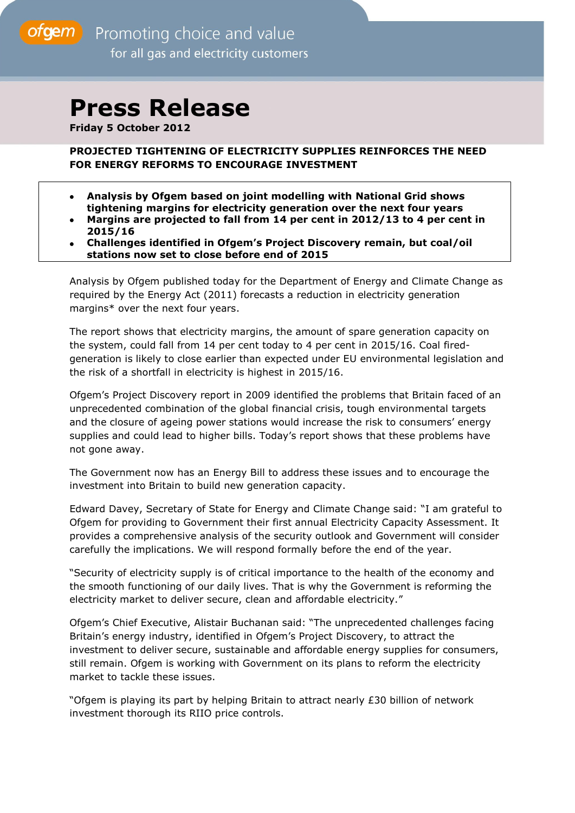**ofgem** Promoting choice and value for all gas and electricity customers

## **Press Release**

**Friday 5 October 2012**

**PROJECTED TIGHTENING OF ELECTRICITY SUPPLIES REINFORCES THE NEED FOR ENERGY REFORMS TO ENCOURAGE INVESTMENT** 

- **Analysis by Ofgem based on joint modelling with National Grid shows tightening margins for electricity generation over the next four years**
- **Margins are projected to fall from 14 per cent in 2012/13 to 4 per cent in 2015/16**
- **Challenges identified in Ofgem's Project Discovery remain, but coal/oil stations now set to close before end of 2015**

Analysis by Ofgem published today for the Department of Energy and Climate Change as required by the Energy Act (2011) forecasts a reduction in electricity generation margins\* over the next four years.

The report shows that electricity margins, the amount of spare generation capacity on the system, could fall from 14 per cent today to 4 per cent in 2015/16. Coal firedgeneration is likely to close earlier than expected under EU environmental legislation and the risk of a shortfall in electricity is highest in 2015/16.

Ofgem's Project Discovery report in 2009 identified the problems that Britain faced of an unprecedented combination of the global financial crisis, tough environmental targets and the closure of ageing power stations would increase the risk to consumers' energy supplies and could lead to higher bills. Today's report shows that these problems have not gone away.

The Government now has an Energy Bill to address these issues and to encourage the investment into Britain to build new generation capacity.

Edward Davey, Secretary of State for Energy and Climate Change said: "I am grateful to Ofgem for providing to Government their first annual Electricity Capacity Assessment. It provides a comprehensive analysis of the security outlook and Government will consider carefully the implications. We will respond formally before the end of the year.

"Security of electricity supply is of critical importance to the health of the economy and the smooth functioning of our daily lives. That is why the Government is reforming the electricity market to deliver secure, clean and affordable electricity."

Ofgem's Chief Executive, Alistair Buchanan said: "The unprecedented challenges facing Britain's energy industry, identified in Ofgem's Project Discovery, to attract the investment to deliver secure, sustainable and affordable energy supplies for consumers, still remain. Ofgem is working with Government on its plans to reform the electricity market to tackle these issues.

"Ofgem is playing its part by helping Britain to attract nearly £30 billion of network investment thorough its RIIO price controls.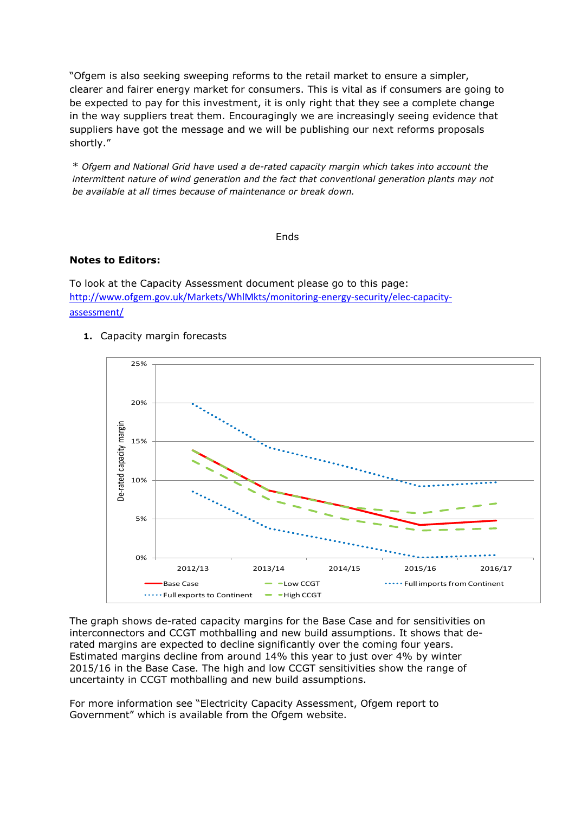"Ofgem is also seeking sweeping reforms to the retail market to ensure a simpler, clearer and fairer energy market for consumers. This is vital as if consumers are going to be expected to pay for this investment, it is only right that they see a complete change in the way suppliers treat them. Encouragingly we are increasingly seeing evidence that suppliers have got the message and we will be publishing our next reforms proposals shortly."

\* *Ofgem and National Grid have used a de-rated capacity margin which takes into account the intermittent nature of wind generation and the fact that conventional generation plants may not be available at all times because of maintenance or break down.* 

## **Ends**

## **Notes to Editors:**

To look at the Capacity Assessment document please go to this page: [http://www.ofgem.gov.uk/Markets/WhlMkts/monitoring-energy-security/elec-capacity](http://www.ofgem.gov.uk/Markets/WhlMkts/monitoring-energy-security/elec-capacity-assessment/Pages/index.aspx)[assessment/](http://www.ofgem.gov.uk/Markets/WhlMkts/monitoring-energy-security/elec-capacity-assessment/Pages/index.aspx)

**1.** Capacity margin forecasts



The graph shows de-rated capacity margins for the Base Case and for sensitivities on interconnectors and CCGT mothballing and new build assumptions. It shows that derated margins are expected to decline significantly over the coming four years. Estimated margins decline from around 14% this year to just over 4% by winter 2015/16 in the Base Case. The high and low CCGT sensitivities show the range of uncertainty in CCGT mothballing and new build assumptions.

For more information see "Electricity Capacity Assessment, Ofgem report to Government" which is available from the Ofgem website.